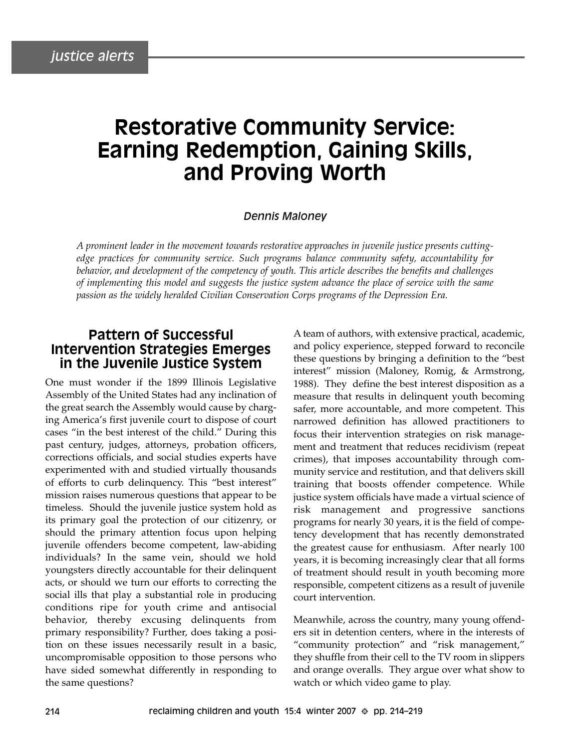# **Restorative Community Service: Earning Redemption, Gaining Skills, and Proving Worth**

#### *Dennis Maloney*

*A prominent leader in the movement towards restorative approaches in juvenile justice presents cuttingedge practices for community service. Such programs balance community safety, accountability for behavior, and development of the competency of youth. This article describes the benefits and challenges of implementing this model and suggests the justice system advance the place of service with the same passion as the widely heralded Civilian Conservation Corps programs of the Depression Era.*

## **Pattern of Successful Intervention Strategies Emerges in the Juvenile Justice System**

One must wonder if the 1899 Illinois Legislative Assembly of the United States had any inclination of the great search the Assembly would cause by charging America's first juvenile court to dispose of court cases "in the best interest of the child." During this past century, judges, attorneys, probation officers, corrections officials, and social studies experts have experimented with and studied virtually thousands of efforts to curb delinquency. This "best interest" mission raises numerous questions that appear to be timeless. Should the juvenile justice system hold as its primary goal the protection of our citizenry, or should the primary attention focus upon helping juvenile offenders become competent, law-abiding individuals? In the same vein, should we hold youngsters directly accountable for their delinquent acts, or should we turn our efforts to correcting the social ills that play a substantial role in producing conditions ripe for youth crime and antisocial behavior, thereby excusing delinquents from primary responsibility? Further, does taking a position on these issues necessarily result in a basic, uncompromisable opposition to those persons who have sided somewhat differently in responding to the same questions?

A team of authors, with extensive practical, academic, and policy experience, stepped forward to reconcile these questions by bringing a definition to the "best interest" mission (Maloney, Romig, & Armstrong, 1988). They define the best interest disposition as a measure that results in delinquent youth becoming safer, more accountable, and more competent. This narrowed definition has allowed practitioners to focus their intervention strategies on risk management and treatment that reduces recidivism (repeat crimes), that imposes accountability through community service and restitution, and that delivers skill training that boosts offender competence. While justice system officials have made a virtual science of risk management and progressive sanctions programs for nearly 30 years, it is the field of competency development that has recently demonstrated the greatest cause for enthusiasm. After nearly 100 years, it is becoming increasingly clear that all forms of treatment should result in youth becoming more responsible, competent citizens as a result of juvenile court intervention.

Meanwhile, across the country, many young offenders sit in detention centers, where in the interests of "community protection" and "risk management," they shuffle from their cell to the TV room in slippers and orange overalls. They argue over what show to watch or which video game to play.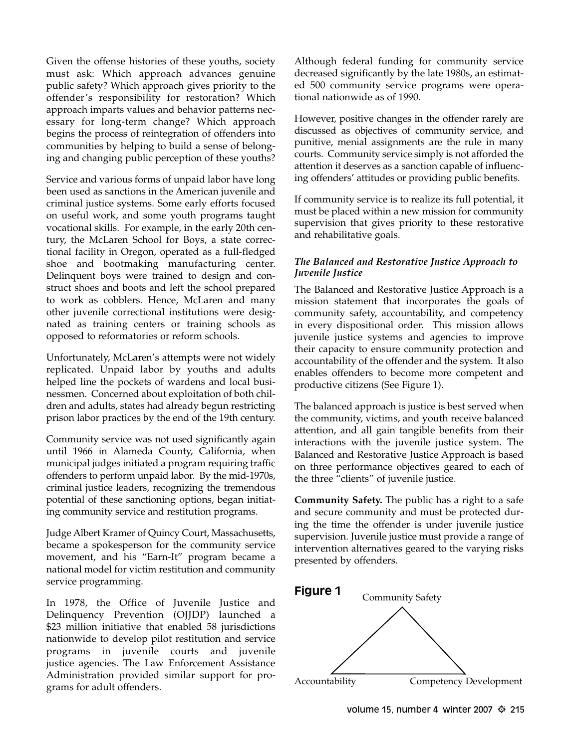Given the offense histories of these youths, society must ask: Which approach advances genuine public safety? Which approach gives priority to the offender's responsibility for restoration? Which approach imparts values and behavior patterns necessary for long-term change? Which approach begins the process of reintegration of offenders into communities by helping to build a sense of belonging and changing public perception of these youths?

Service and various forms of unpaid labor have long been used as sanctions in the American juvenile and criminal justice systems. Some early efforts focused on useful work, and some youth programs taught vocational skills. For example, in the early 20th century, the McLaren School for Boys, a state correctional facility in Oregon, operated as a full-fledged shoe and bootmaking manufacturing center. Delinquent boys were trained to design and construct shoes and boots and left the school prepared to work as cobblers. Hence, McLaren and many other juvenile correctional institutions were designated as training centers or training schools as opposed to reformatories or reform schools.

Unfortunately, McLaren's attempts were not widely replicated. Unpaid labor by youths and adults helped line the pockets of wardens and local businessmen. Concerned about exploitation of both children and adults, states had already begun restricting prison labor practices by the end of the 19th century.

Community service was not used significantly again until 1966 in Alameda County, California, when municipal judges initiated a program requiring traffic offenders to perform unpaid labor. By the mid-1970s, criminal justice leaders, recognizing the tremendous potential of these sanctioning options, began initiating community service and restitution programs.

Judge Albert Kramer of Quincy Court, Massachusetts, became a spokesperson for the community service movement, and his "Earn-It" program became a national model for victim restitution and community service programming.

In 1978, the Office of Juvenile Justice and Delinquency Prevention (OJJDP) launched a \$23 million initiative that enabled 58 jurisdictions nationwide to develop pilot restitution and service programs in juvenile courts and juvenile justice agencies. The Law Enforcement Assistance Administration provided similar support for programs for adult offenders.

Although federal funding for community service decreased significantly by the late 1980s, an estimated 500 community service programs were operational nationwide as of 1990.

However, positive changes in the offender rarely are discussed as objectives of community service, and punitive, menial assignments are the rule in many courts. Community service simply is not afforded the attention it deserves as a sanction capable of influencing offenders' attitudes or providing public benefits.

If community service is to realize its full potential, it must be placed within a new mission for community supervision that gives priority to these restorative and rehabilitative goals.

#### *The Balanced and Restorative Justice Approach to Juvenile Justice*

The Balanced and Restorative Justice Approach is a mission statement that incorporates the goals of community safety, accountability, and competency in every dispositional order. This mission allows juvenile justice systems and agencies to improve their capacity to ensure community protection and accountability of the offender and the system. It also enables offenders to become more competent and productive citizens (See Figure 1).

The balanced approach is justice is best served when the community, victims, and youth receive balanced attention, and all gain tangible benefits from their interactions with the juvenile justice system. The Balanced and Restorative Justice Approach is based on three performance objectives geared to each of the three "clients" of juvenile justice.

**Community Safety.** The public has a right to a safe and secure community and must be protected during the time the offender is under juvenile justice supervision. Juvenile justice must provide a range of intervention alternatives geared to the varying risks presented by offenders.

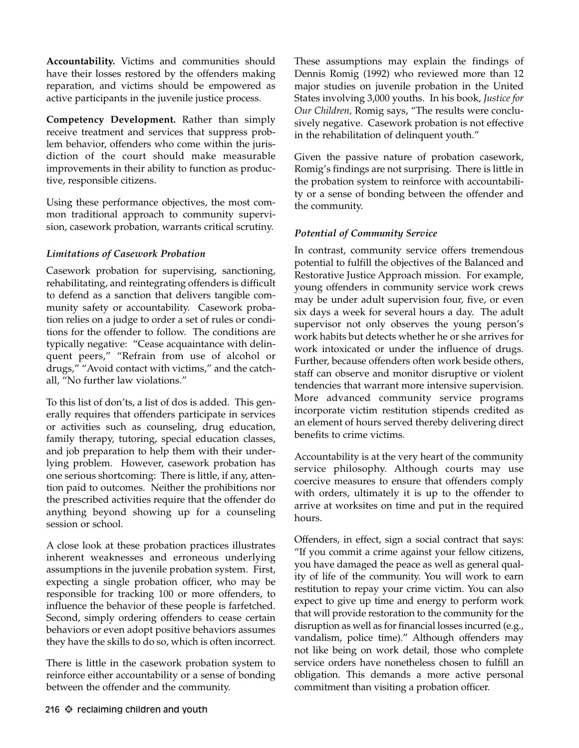**Accountability.** Victims and communities should have their losses restored by the offenders making reparation, and victims should be empowered as active participants in the juvenile justice process.

**Competency Development.** Rather than simply receive treatment and services that suppress problem behavior, offenders who come within the jurisdiction of the court should make measurable improvements in their ability to function as productive, responsible citizens.

Using these performance objectives, the most common traditional approach to community supervision, casework probation, warrants critical scrutiny.

#### *Limitations of Casework Probation*

Casework probation for supervising, sanctioning, rehabilitating, and reintegrating offenders is difficult to defend as a sanction that delivers tangible community safety or accountability. Casework probation relies on a judge to order a set of rules or conditions for the offender to follow. The conditions are typically negative: "Cease acquaintance with delinquent peers," "Refrain from use of alcohol or drugs," "Avoid contact with victims," and the catchall, "No further law violations."

To this list of don'ts, a list of dos is added. This generally requires that offenders participate in services or activities such as counseling, drug education, family therapy, tutoring, special education classes, and job preparation to help them with their underlying problem. However, casework probation has one serious shortcoming: There is little, if any, attention paid to outcomes. Neither the prohibitions nor the prescribed activities require that the offender do anything beyond showing up for a counseling session or school.

A close look at these probation practices illustrates inherent weaknesses and erroneous underlying assumptions in the juvenile probation system. First, expecting a single probation officer, who may be responsible for tracking 100 or more offenders, to influence the behavior of these people is farfetched. Second, simply ordering offenders to cease certain behaviors or even adopt positive behaviors assumes they have the skills to do so, which is often incorrect.

There is little in the casework probation system to reinforce either accountability or a sense of bonding between the offender and the community.

These assumptions may explain the findings of Dennis Romig (1992) who reviewed more than 12 major studies on juvenile probation in the United States involving 3,000 youths. In his book, *Justice for Our Children,* Romig says, "The results were conclusively negative. Casework probation is not effective in the rehabilitation of delinquent youth."

Given the passive nature of probation casework, Romig's findings are not surprising. There is little in the probation system to reinforce with accountability or a sense of bonding between the offender and the community.

### *Potential of Community Service*

In contrast, community service offers tremendous potential to fulfill the objectives of the Balanced and Restorative Justice Approach mission. For example, young offenders in community service work crews may be under adult supervision four, five, or even six days a week for several hours a day. The adult supervisor not only observes the young person's work habits but detects whether he or she arrives for work intoxicated or under the influence of drugs. Further, because offenders often work beside others, staff can observe and monitor disruptive or violent tendencies that warrant more intensive supervision. More advanced community service programs incorporate victim restitution stipends credited as an element of hours served thereby delivering direct benefits to crime victims.

Accountability is at the very heart of the community service philosophy. Although courts may use coercive measures to ensure that offenders comply with orders, ultimately it is up to the offender to arrive at worksites on time and put in the required hours.

Offenders, in effect, sign a social contract that says: "If you commit a crime against your fellow citizens, you have damaged the peace as well as general quality of life of the community. You will work to earn restitution to repay your crime victim. You can also expect to give up time and energy to perform work that will provide restoration to the community for the disruption as well as for financial losses incurred (e.g., vandalism, police time)." Although offenders may not like being on work detail, those who complete service orders have nonetheless chosen to fulfill an obligation. This demands a more active personal commitment than visiting a probation officer.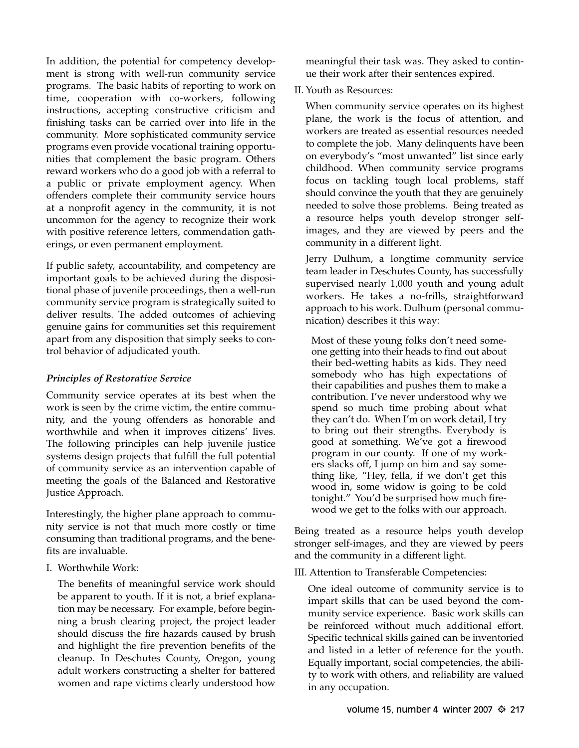In addition, the potential for competency development is strong with well-run community service programs. The basic habits of reporting to work on time, cooperation with co-workers, following instructions, accepting constructive criticism and finishing tasks can be carried over into life in the community. More sophisticated community service programs even provide vocational training opportunities that complement the basic program. Others reward workers who do a good job with a referral to a public or private employment agency. When offenders complete their community service hours at a nonprofit agency in the community, it is not uncommon for the agency to recognize their work with positive reference letters, commendation gatherings, or even permanent employment.

If public safety, accountability, and competency are important goals to be achieved during the dispositional phase of juvenile proceedings, then a well-run community service program is strategically suited to deliver results. The added outcomes of achieving genuine gains for communities set this requirement apart from any disposition that simply seeks to control behavior of adjudicated youth.

#### *Principles of Restorative Service*

Community service operates at its best when the work is seen by the crime victim, the entire community, and the young offenders as honorable and worthwhile and when it improves citizens' lives. The following principles can help juvenile justice systems design projects that fulfill the full potential of community service as an intervention capable of meeting the goals of the Balanced and Restorative Justice Approach.

Interestingly, the higher plane approach to community service is not that much more costly or time consuming than traditional programs, and the benefits are invaluable.

I. Worthwhile Work:

The benefits of meaningful service work should be apparent to youth. If it is not, a brief explanation may be necessary. For example, before beginning a brush clearing project, the project leader should discuss the fire hazards caused by brush and highlight the fire prevention benefits of the cleanup. In Deschutes County, Oregon, young adult workers constructing a shelter for battered women and rape victims clearly understood how

meaningful their task was. They asked to continue their work after their sentences expired.

II. Youth as Resources:

When community service operates on its highest plane, the work is the focus of attention, and workers are treated as essential resources needed to complete the job. Many delinquents have been on everybody's "most unwanted" list since early childhood. When community service programs focus on tackling tough local problems, staff should convince the youth that they are genuinely needed to solve those problems. Being treated as a resource helps youth develop stronger selfimages, and they are viewed by peers and the community in a different light.

Jerry Dulhum, a longtime community service team leader in Deschutes County, has successfully supervised nearly 1,000 youth and young adult workers. He takes a no-frills, straightforward approach to his work. Dulhum (personal communication) describes it this way:

Most of these young folks don't need someone getting into their heads to find out about their bed-wetting habits as kids. They need somebody who has high expectations of their capabilities and pushes them to make a contribution. I've never understood why we spend so much time probing about what they can't do. When I'm on work detail, I try to bring out their strengths. Everybody is good at something. We've got a firewood program in our county. If one of my workers slacks off, I jump on him and say something like, "Hey, fella, if we don't get this wood in, some widow is going to be cold tonight." You'd be surprised how much firewood we get to the folks with our approach.

Being treated as a resource helps youth develop stronger self-images, and they are viewed by peers and the community in a different light.

III. Attention to Transferable Competencies:

One ideal outcome of community service is to impart skills that can be used beyond the community service experience. Basic work skills can be reinforced without much additional effort. Specific technical skills gained can be inventoried and listed in a letter of reference for the youth. Equally important, social competencies, the ability to work with others, and reliability are valued in any occupation.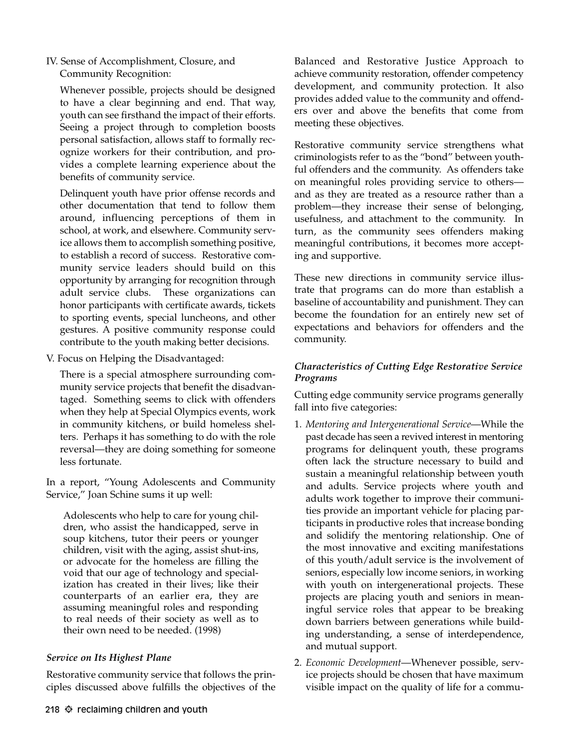IV. Sense of Accomplishment, Closure, and Community Recognition:

Whenever possible, projects should be designed to have a clear beginning and end. That way, youth can see firsthand the impact of their efforts. Seeing a project through to completion boosts personal satisfaction, allows staff to formally recognize workers for their contribution, and provides a complete learning experience about the benefits of community service.

Delinquent youth have prior offense records and other documentation that tend to follow them around, influencing perceptions of them in school, at work, and elsewhere. Community service allows them to accomplish something positive, to establish a record of success. Restorative community service leaders should build on this opportunity by arranging for recognition through adult service clubs. These organizations can honor participants with certificate awards, tickets to sporting events, special luncheons, and other gestures. A positive community response could contribute to the youth making better decisions.

V. Focus on Helping the Disadvantaged:

There is a special atmosphere surrounding community service projects that benefit the disadvantaged. Something seems to click with offenders when they help at Special Olympics events, work in community kitchens, or build homeless shelters. Perhaps it has something to do with the role reversal—they are doing something for someone less fortunate.

In a report, "Young Adolescents and Community Service," Joan Schine sums it up well:

Adolescents who help to care for young children, who assist the handicapped, serve in soup kitchens, tutor their peers or younger children, visit with the aging, assist shut-ins, or advocate for the homeless are filling the void that our age of technology and specialization has created in their lives; like their counterparts of an earlier era, they are assuming meaningful roles and responding to real needs of their society as well as to their own need to be needed. (1998)

### *Service on Its Highest Plane*

Restorative community service that follows the principles discussed above fulfills the objectives of the Restorative community service strengthens what criminologists refer to as the "bond" between youthful offenders and the community. As offenders take on meaningful roles providing service to others and as they are treated as a resource rather than a problem—they increase their sense of belonging, usefulness, and attachment to the community. In turn, as the community sees offenders making meaningful contributions, it becomes more accepting and supportive.

These new directions in community service illustrate that programs can do more than establish a baseline of accountability and punishment. They can become the foundation for an entirely new set of expectations and behaviors for offenders and the community.

### *Characteristics of Cutting Edge Restorative Service Programs*

Cutting edge community service programs generally fall into five categories:

- 1. *Mentoring and Intergenerational Service*—While the past decade has seen a revived interest in mentoring programs for delinquent youth, these programs often lack the structure necessary to build and sustain a meaningful relationship between youth and adults. Service projects where youth and adults work together to improve their communities provide an important vehicle for placing participants in productive roles that increase bonding and solidify the mentoring relationship. One of the most innovative and exciting manifestations of this youth/adult service is the involvement of seniors, especially low income seniors, in working with youth on intergenerational projects. These projects are placing youth and seniors in meaningful service roles that appear to be breaking down barriers between generations while building understanding, a sense of interdependence, and mutual support.
- 2. *Economic Development*—Whenever possible, service projects should be chosen that have maximum visible impact on the quality of life for a commu-